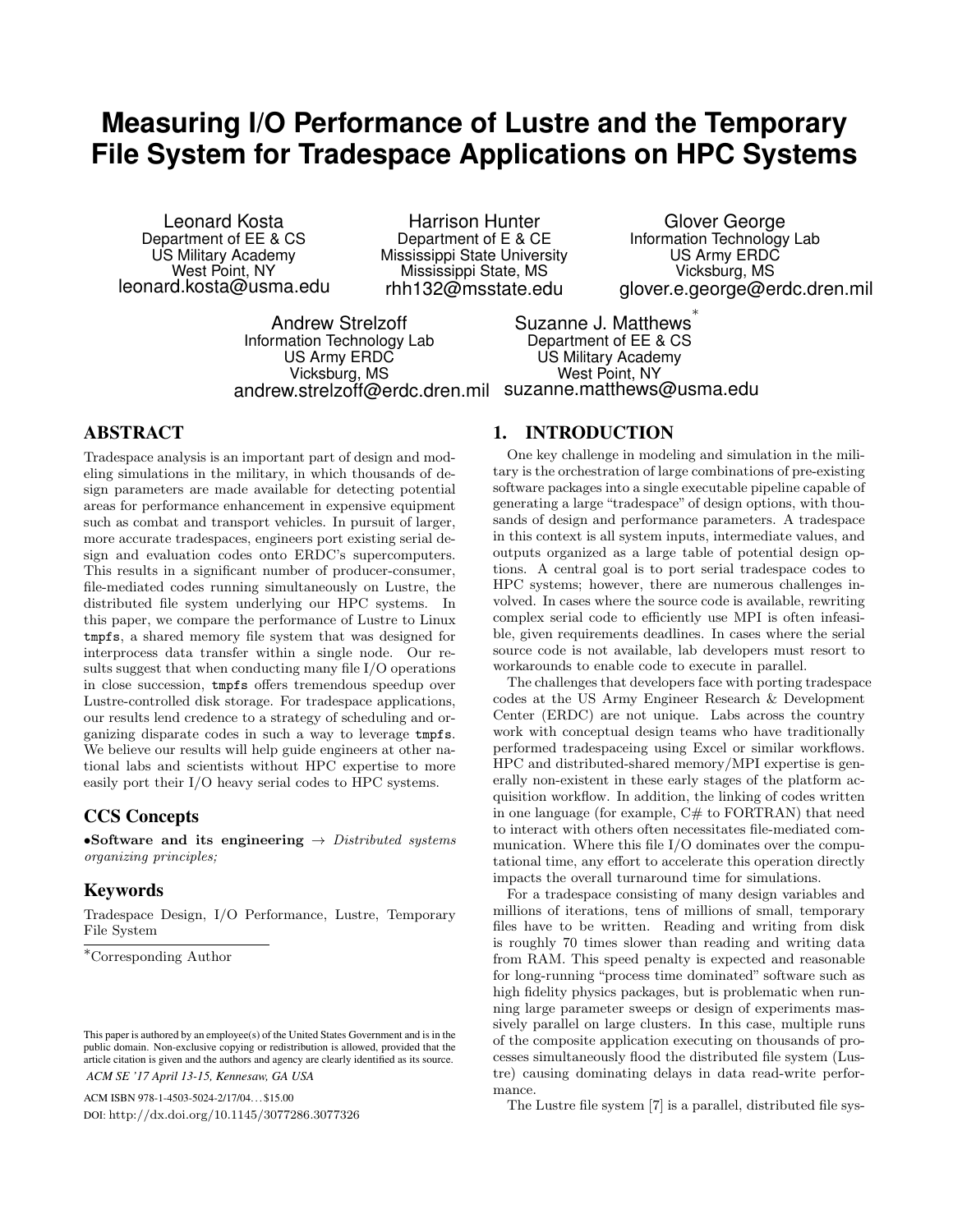# **Measuring I/O Performance of Lustre and the Temporary File System for Tradespace Applications on HPC Systems**

Leonard Kosta Department of EE & CS US Military Academy West Point, NY leonard.kosta@usma.edu

Harrison Hunter Department of E & CE Mississippi State University Mississippi State, MS rhh132@msstate.edu

Glover George Information Technology Lab US Army ERDC Vicksburg, MS glover.e.george@erdc.dren.mil

Andrew Strelzoff Information Technology Lab US Army ERDC Vicksburg, MS andrew.strelzoff@erdc.dren.mil suzanne.matthews@usma.edu

Suzanne J. Matthews ∗ Department of EE & CS US Military Academy West Point, NY

## ABSTRACT

Tradespace analysis is an important part of design and modeling simulations in the military, in which thousands of design parameters are made available for detecting potential areas for performance enhancement in expensive equipment such as combat and transport vehicles. In pursuit of larger, more accurate tradespaces, engineers port existing serial design and evaluation codes onto ERDC's supercomputers. This results in a significant number of producer-consumer, file-mediated codes running simultaneously on Lustre, the distributed file system underlying our HPC systems. In this paper, we compare the performance of Lustre to Linux tmpfs, a shared memory file system that was designed for interprocess data transfer within a single node. Our results suggest that when conducting many file I/O operations in close succession, tmpfs offers tremendous speedup over Lustre-controlled disk storage. For tradespace applications, our results lend credence to a strategy of scheduling and organizing disparate codes in such a way to leverage tmpfs. We believe our results will help guide engineers at other national labs and scientists without HPC expertise to more easily port their I/O heavy serial codes to HPC systems.

## CCS Concepts

•Software and its engineering  $\rightarrow$  Distributed systems organizing principles;

## Keywords

Tradespace Design, I/O Performance, Lustre, Temporary File System

<sup>∗</sup>Corresponding Author

ACM ISBN 978-1-4503-5024-2/17/04. . . \$15.00 DOI: http://dx.doi.org/10.1145/3077286.3077326

### 1. INTRODUCTION

One key challenge in modeling and simulation in the military is the orchestration of large combinations of pre-existing software packages into a single executable pipeline capable of generating a large "tradespace" of design options, with thousands of design and performance parameters. A tradespace in this context is all system inputs, intermediate values, and outputs organized as a large table of potential design options. A central goal is to port serial tradespace codes to HPC systems; however, there are numerous challenges involved. In cases where the source code is available, rewriting complex serial code to efficiently use MPI is often infeasible, given requirements deadlines. In cases where the serial source code is not available, lab developers must resort to workarounds to enable code to execute in parallel.

The challenges that developers face with porting tradespace codes at the US Army Engineer Research & Development Center (ERDC) are not unique. Labs across the country work with conceptual design teams who have traditionally performed tradespaceing using Excel or similar workflows. HPC and distributed-shared memory/MPI expertise is generally non-existent in these early stages of the platform acquisition workflow. In addition, the linking of codes written in one language (for example, C# to FORTRAN) that need to interact with others often necessitates file-mediated communication. Where this file I/O dominates over the computational time, any effort to accelerate this operation directly impacts the overall turnaround time for simulations.

For a tradespace consisting of many design variables and millions of iterations, tens of millions of small, temporary files have to be written. Reading and writing from disk is roughly 70 times slower than reading and writing data from RAM. This speed penalty is expected and reasonable for long-running "process time dominated" software such as high fidelity physics packages, but is problematic when running large parameter sweeps or design of experiments massively parallel on large clusters. In this case, multiple runs of the composite application executing on thousands of processes simultaneously flood the distributed file system (Lustre) causing dominating delays in data read-write performance.

The Lustre file system [7] is a parallel, distributed file sys-

This paper is authored by an employee(s) of the United States Government and is in the public domain. Non-exclusive copying or redistribution is allowed, provided that the article citation is given and the authors and agency are clearly identified as its source. *ACM SE '17 April 13-15, Kennesaw, GA USA*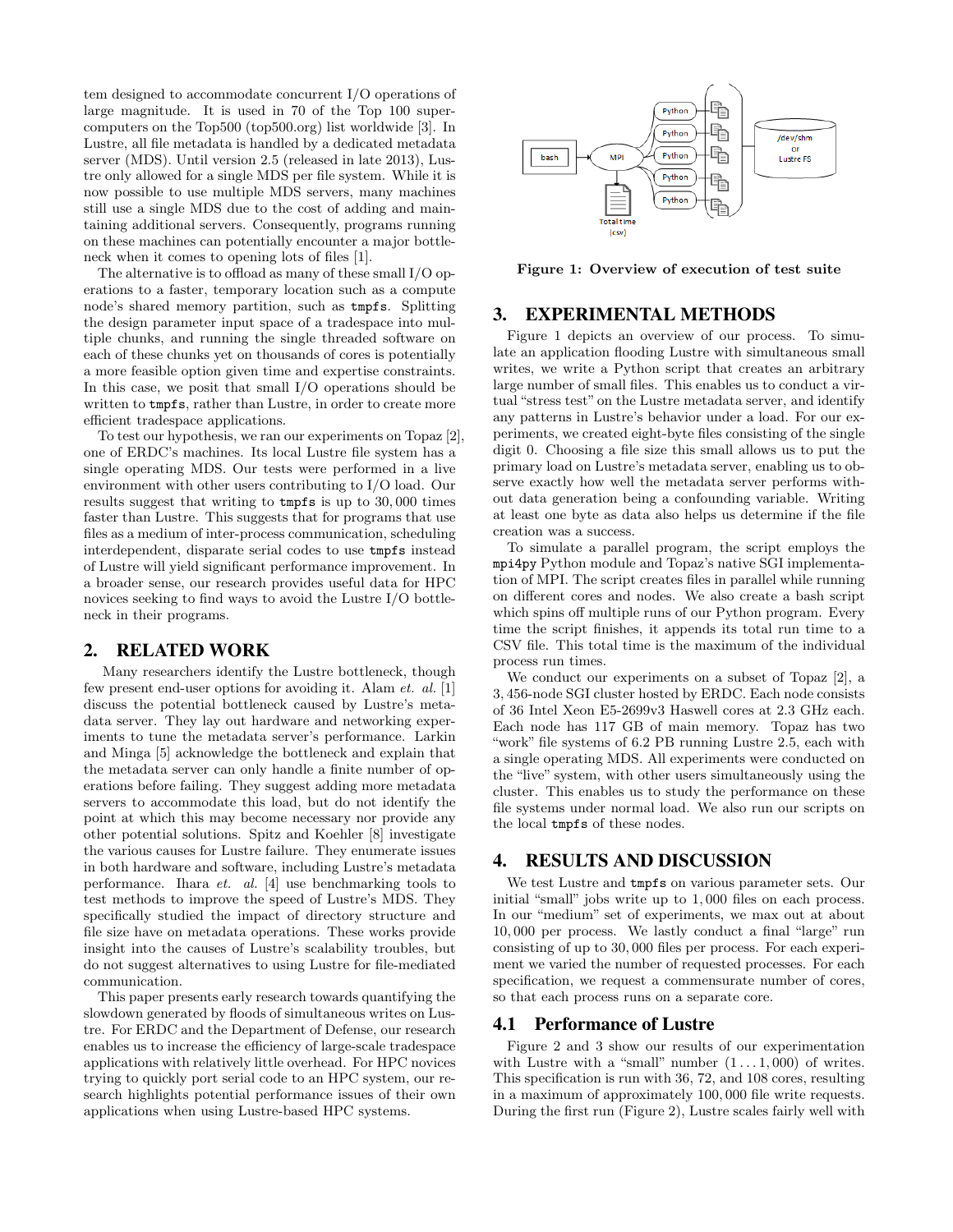tem designed to accommodate concurrent I/O operations of large magnitude. It is used in 70 of the Top 100 supercomputers on the Top500 (top500.org) list worldwide [3]. In Lustre, all file metadata is handled by a dedicated metadata server (MDS). Until version 2.5 (released in late 2013), Lustre only allowed for a single MDS per file system. While it is now possible to use multiple MDS servers, many machines still use a single MDS due to the cost of adding and maintaining additional servers. Consequently, programs running on these machines can potentially encounter a major bottleneck when it comes to opening lots of files [1].

The alternative is to offload as many of these small I/O operations to a faster, temporary location such as a compute node's shared memory partition, such as tmpfs. Splitting the design parameter input space of a tradespace into multiple chunks, and running the single threaded software on each of these chunks yet on thousands of cores is potentially a more feasible option given time and expertise constraints. In this case, we posit that small I/O operations should be written to tmpfs, rather than Lustre, in order to create more efficient tradespace applications.

To test our hypothesis, we ran our experiments on Topaz [2], one of ERDC's machines. Its local Lustre file system has a single operating MDS. Our tests were performed in a live environment with other users contributing to I/O load. Our results suggest that writing to tmpfs is up to 30, 000 times faster than Lustre. This suggests that for programs that use files as a medium of inter-process communication, scheduling interdependent, disparate serial codes to use tmpfs instead of Lustre will yield significant performance improvement. In a broader sense, our research provides useful data for HPC novices seeking to find ways to avoid the Lustre I/O bottleneck in their programs.

## 2. RELATED WORK

Many researchers identify the Lustre bottleneck, though few present end-user options for avoiding it. Alam et. al. [1] discuss the potential bottleneck caused by Lustre's metadata server. They lay out hardware and networking experiments to tune the metadata server's performance. Larkin and Minga [5] acknowledge the bottleneck and explain that the metadata server can only handle a finite number of operations before failing. They suggest adding more metadata servers to accommodate this load, but do not identify the point at which this may become necessary nor provide any other potential solutions. Spitz and Koehler [8] investigate the various causes for Lustre failure. They enumerate issues in both hardware and software, including Lustre's metadata performance. Ihara et. al. [4] use benchmarking tools to test methods to improve the speed of Lustre's MDS. They specifically studied the impact of directory structure and file size have on metadata operations. These works provide insight into the causes of Lustre's scalability troubles, but do not suggest alternatives to using Lustre for file-mediated communication.

This paper presents early research towards quantifying the slowdown generated by floods of simultaneous writes on Lustre. For ERDC and the Department of Defense, our research enables us to increase the efficiency of large-scale tradespace applications with relatively little overhead. For HPC novices trying to quickly port serial code to an HPC system, our research highlights potential performance issues of their own applications when using Lustre-based HPC systems.



Figure 1: Overview of execution of test suite

## 3. EXPERIMENTAL METHODS

Figure 1 depicts an overview of our process. To simulate an application flooding Lustre with simultaneous small writes, we write a Python script that creates an arbitrary large number of small files. This enables us to conduct a virtual "stress test" on the Lustre metadata server, and identify any patterns in Lustre's behavior under a load. For our experiments, we created eight-byte files consisting of the single digit 0. Choosing a file size this small allows us to put the primary load on Lustre's metadata server, enabling us to observe exactly how well the metadata server performs without data generation being a confounding variable. Writing at least one byte as data also helps us determine if the file creation was a success.

To simulate a parallel program, the script employs the mpi4py Python module and Topaz's native SGI implementation of MPI. The script creates files in parallel while running on different cores and nodes. We also create a bash script which spins off multiple runs of our Python program. Every time the script finishes, it appends its total run time to a CSV file. This total time is the maximum of the individual process run times.

We conduct our experiments on a subset of Topaz [2], a 3, 456-node SGI cluster hosted by ERDC. Each node consists of 36 Intel Xeon E5-2699v3 Haswell cores at 2.3 GHz each. Each node has 117 GB of main memory. Topaz has two "work" file systems of 6.2 PB running Lustre 2.5, each with a single operating MDS. All experiments were conducted on the "live" system, with other users simultaneously using the cluster. This enables us to study the performance on these file systems under normal load. We also run our scripts on the local tmpfs of these nodes.

## 4. RESULTS AND DISCUSSION

We test Lustre and tmpfs on various parameter sets. Our initial "small" jobs write up to 1, 000 files on each process. In our "medium" set of experiments, we max out at about 10, 000 per process. We lastly conduct a final "large" run consisting of up to 30, 000 files per process. For each experiment we varied the number of requested processes. For each specification, we request a commensurate number of cores, so that each process runs on a separate core.

#### 4.1 Performance of Lustre

Figure 2 and 3 show our results of our experimentation with Lustre with a "small" number  $(1 \dots 1,000)$  of writes. This specification is run with 36, 72, and 108 cores, resulting in a maximum of approximately 100, 000 file write requests. During the first run (Figure 2), Lustre scales fairly well with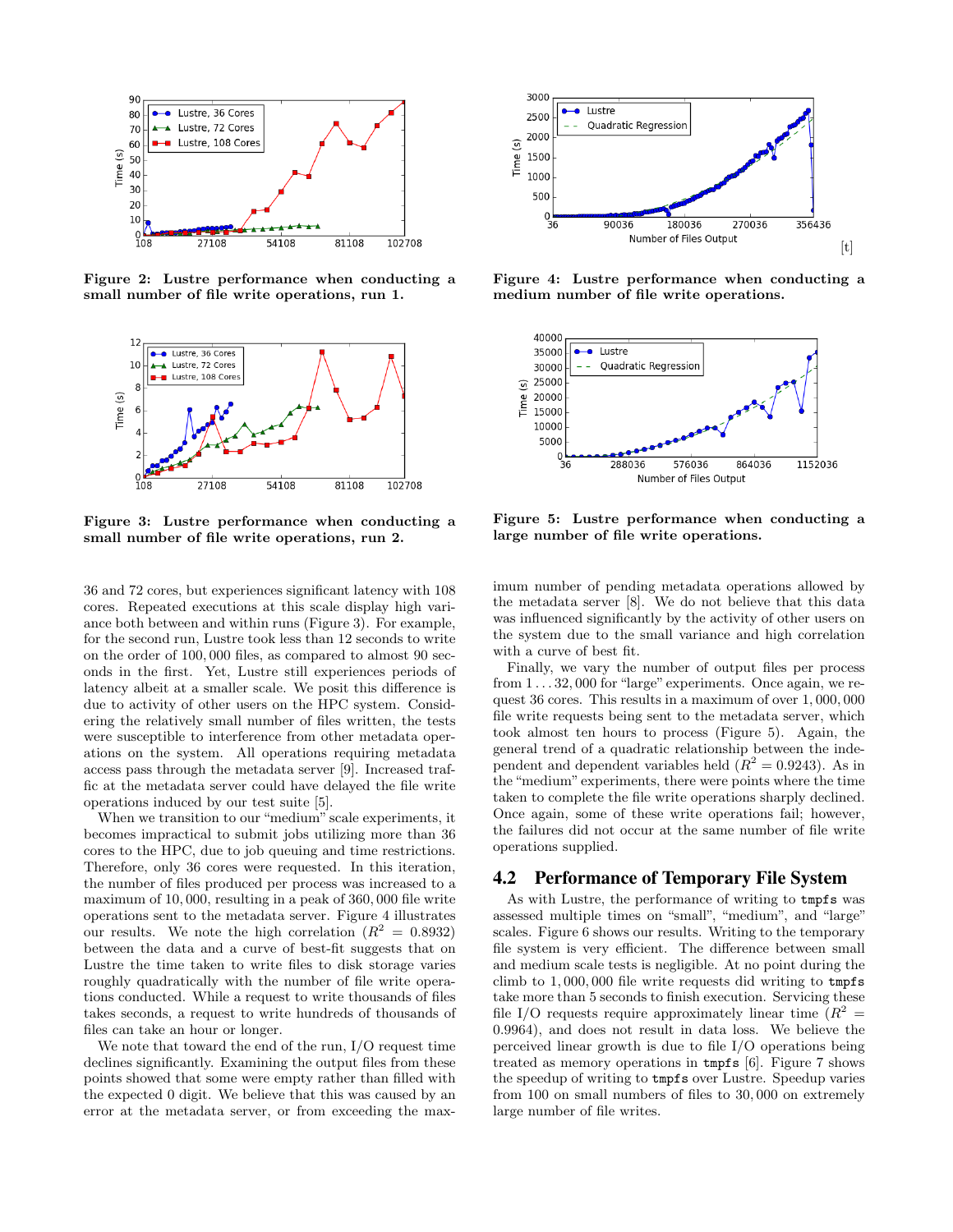

Figure 2: Lustre performance when conducting a small number of file write operations, run 1.



Figure 3: Lustre performance when conducting a small number of file write operations, run 2.

36 and 72 cores, but experiences significant latency with 108 cores. Repeated executions at this scale display high variance both between and within runs (Figure 3). For example, for the second run, Lustre took less than 12 seconds to write on the order of 100, 000 files, as compared to almost 90 seconds in the first. Yet, Lustre still experiences periods of latency albeit at a smaller scale. We posit this difference is due to activity of other users on the HPC system. Considering the relatively small number of files written, the tests were susceptible to interference from other metadata operations on the system. All operations requiring metadata access pass through the metadata server [9]. Increased traffic at the metadata server could have delayed the file write operations induced by our test suite [5].

When we transition to our "medium" scale experiments, it becomes impractical to submit jobs utilizing more than 36 cores to the HPC, due to job queuing and time restrictions. Therefore, only 36 cores were requested. In this iteration, the number of files produced per process was increased to a maximum of 10, 000, resulting in a peak of 360, 000 file write operations sent to the metadata server. Figure 4 illustrates our results. We note the high correlation  $(R^2 = 0.8932)$ between the data and a curve of best-fit suggests that on Lustre the time taken to write files to disk storage varies roughly quadratically with the number of file write operations conducted. While a request to write thousands of files takes seconds, a request to write hundreds of thousands of files can take an hour or longer.

We note that toward the end of the run, I/O request time declines significantly. Examining the output files from these points showed that some were empty rather than filled with the expected 0 digit. We believe that this was caused by an error at the metadata server, or from exceeding the max-



Figure 4: Lustre performance when conducting a medium number of file write operations.



Figure 5: Lustre performance when conducting a large number of file write operations.

imum number of pending metadata operations allowed by the metadata server [8]. We do not believe that this data was influenced significantly by the activity of other users on the system due to the small variance and high correlation with a curve of best fit.

Finally, we vary the number of output files per process from 1 . . . 32, 000 for "large" experiments. Once again, we request 36 cores. This results in a maximum of over 1, 000, 000 file write requests being sent to the metadata server, which took almost ten hours to process (Figure 5). Again, the general trend of a quadratic relationship between the independent and dependent variables held  $(R^2 = 0.9243)$ . As in the "medium" experiments, there were points where the time taken to complete the file write operations sharply declined. Once again, some of these write operations fail; however, the failures did not occur at the same number of file write operations supplied.

#### 4.2 Performance of Temporary File System

As with Lustre, the performance of writing to tmpfs was assessed multiple times on "small", "medium", and "large" scales. Figure 6 shows our results. Writing to the temporary file system is very efficient. The difference between small and medium scale tests is negligible. At no point during the climb to 1, 000, 000 file write requests did writing to tmpfs take more than 5 seconds to finish execution. Servicing these file I/O requests require approximately linear time  $(R^2 =$ 0.9964), and does not result in data loss. We believe the perceived linear growth is due to file I/O operations being treated as memory operations in tmpfs [6]. Figure 7 shows the speedup of writing to tmpfs over Lustre. Speedup varies from 100 on small numbers of files to 30, 000 on extremely large number of file writes.